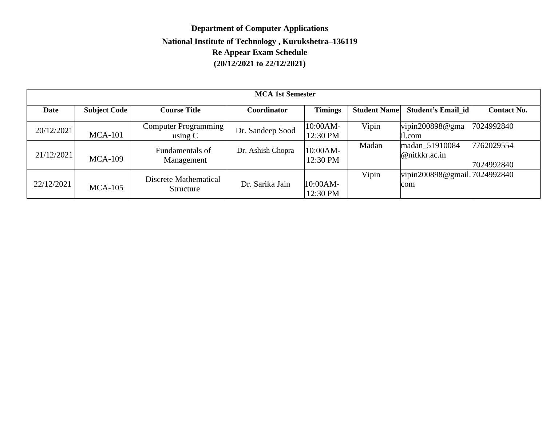# **Department of Computer Applications National Institute of Technology , Kurukshetra–136119 Re Appear Exam Schedule (20/12/2021 to 22/12/2021)**

| <b>MCA 1st Semester</b> |                     |                                     |                   |                      |                     |                                      |                          |  |
|-------------------------|---------------------|-------------------------------------|-------------------|----------------------|---------------------|--------------------------------------|--------------------------|--|
| Date                    | <b>Subject Code</b> | <b>Course Title</b>                 | Coordinator       | <b>Timings</b>       | <b>Student Name</b> | Student's Email id                   | <b>Contact No.</b>       |  |
| 20/12/2021              | $MCA-101$           | Computer Programming  <br>using $C$ | Dr. Sandeep Sood  | 10:00AM-<br>12:30 PM | Vipin               | vipin200898@gma<br>il.com            | 7024992840               |  |
| 21/12/2021              | $MCA-109$           | Fundamentals of<br>Management       | Dr. Ashish Chopra | 10:00AM-<br>12:30 PM | Madan               | madan_51910084<br>@nitkkr.ac.in      | 7762029554<br>7024992840 |  |
| 22/12/2021              | <b>MCA-105</b>      | Discrete Mathematical<br>Structure  | Dr. Sarika Jain   | 10:00AM-<br>12:30 PM | Vipin               | vipin200898@gmail. 7024992840<br>com |                          |  |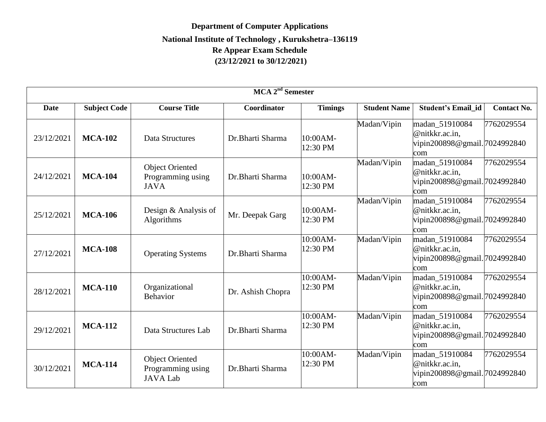# **Department of Computer Applications National Institute of Technology , Kurukshetra–136119 Re Appear Exam Schedule (23/12/2021 to 30/12/2021)**

| MCA 2 <sup>nd</sup> Semester |                     |                                                                |                   |                      |                     |                                                                          |                    |  |
|------------------------------|---------------------|----------------------------------------------------------------|-------------------|----------------------|---------------------|--------------------------------------------------------------------------|--------------------|--|
| <b>Date</b>                  | <b>Subject Code</b> | <b>Course Title</b>                                            | Coordinator       | <b>Timings</b>       | <b>Student Name</b> | <b>Student's Email id</b>                                                | <b>Contact No.</b> |  |
| 23/12/2021                   | <b>MCA-102</b>      | Data Structures                                                | Dr.Bharti Sharma  | 10:00AM-<br>12:30 PM | Madan/Vipin         | madan_51910084<br>@nitkkr.ac.in,<br>vipin200898@gmail.7024992840<br>com  | 7762029554         |  |
| 24/12/2021                   | <b>MCA-104</b>      | <b>Object Oriented</b><br>Programming using<br><b>JAVA</b>     | Dr.Bharti Sharma  | 10:00AM-<br>12:30 PM | Madan/Vipin         | madan 51910084<br>@nitkkr.ac.in,<br>vipin200898@gmail.7024992840<br>com  | 7762029554         |  |
| 25/12/2021                   | <b>MCA-106</b>      | Design & Analysis of<br>Algorithms                             | Mr. Deepak Garg   | 10:00AM-<br>12:30 PM | Madan/Vipin         | madan_51910084<br>@nitkkr.ac.in,<br>vipin200898@gmail.7024992840<br>com  | 7762029554         |  |
| 27/12/2021                   | <b>MCA-108</b>      | <b>Operating Systems</b>                                       | Dr.Bharti Sharma  | 10:00AM-<br>12:30 PM | Madan/Vipin         | madan 51910084<br>@nitkkr.ac.in,<br>vipin200898@gmail. 7024992840<br>com | 7762029554         |  |
| 28/12/2021                   | <b>MCA-110</b>      | Organizational<br><b>Behavior</b>                              | Dr. Ashish Chopra | 10:00AM-<br>12:30 PM | Madan/Vipin         | madan_51910084<br>@nitkkr.ac.in,<br>vipin200898@gmail.7024992840<br>com  | 7762029554         |  |
| 29/12/2021                   | <b>MCA-112</b>      | Data Structures Lab                                            | Dr.Bharti Sharma  | 10:00AM-<br>12:30 PM | Madan/Vipin         | madan_51910084<br>@nitkkr.ac.in,<br>vipin200898@gmail.7024992840<br>com  | 7762029554         |  |
| 30/12/2021                   | <b>MCA-114</b>      | <b>Object Oriented</b><br>Programming using<br><b>JAVA Lab</b> | Dr.Bharti Sharma  | 10:00AM-<br>12:30 PM | Madan/Vipin         | madan_51910084<br>@nitkkr.ac.in,<br>vipin200898@gmail.7024992840<br>com  | 7762029554         |  |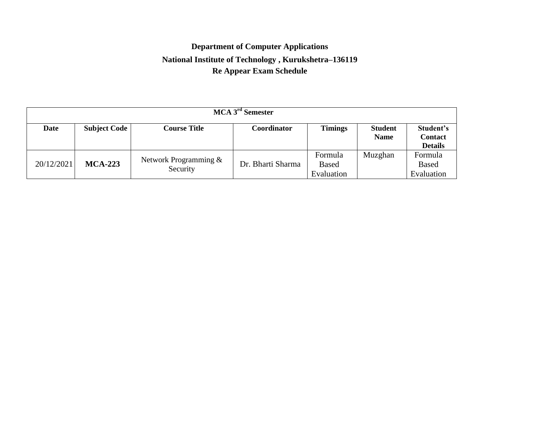### **Department of Computer Applications National Institute of Technology , Kurukshetra–136119 Re Appear Exam Schedule**

| MCA 3 <sup>rd</sup> Semester |                     |                                     |                   |                                       |                               |                                               |  |  |
|------------------------------|---------------------|-------------------------------------|-------------------|---------------------------------------|-------------------------------|-----------------------------------------------|--|--|
| Date                         | <b>Subject Code</b> | <b>Course Title</b>                 | Coordinator       | <b>Timings</b>                        | <b>Student</b><br><b>Name</b> | Student's<br><b>Contact</b><br><b>Details</b> |  |  |
| 20/12/2021                   | $MCA-223$           | Network Programming $&$<br>Security | Dr. Bharti Sharma | Formula<br><b>Based</b><br>Evaluation | Muzghan                       | Formula<br><b>Based</b><br>Evaluation         |  |  |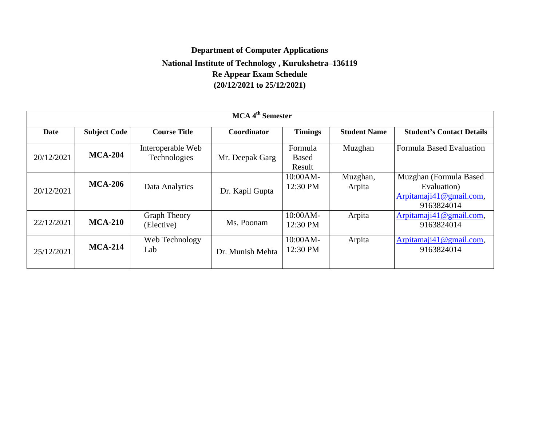#### **Department of Computer Applications National Institute of Technology , Kurukshetra–136119 Re Appear Exam Schedule (20/12/2021 to 25/12/2021)**

| MCA 4 <sup>th</sup> Semester |                     |                                   |                    |                                   |                     |                                                                                |  |
|------------------------------|---------------------|-----------------------------------|--------------------|-----------------------------------|---------------------|--------------------------------------------------------------------------------|--|
| <b>Date</b>                  | <b>Subject Code</b> | <b>Course Title</b>               | <b>Coordinator</b> | <b>Timings</b>                    | <b>Student Name</b> | <b>Student's Contact Details</b>                                               |  |
| 20/12/2021                   | <b>MCA-204</b>      | Interoperable Web<br>Technologies | Mr. Deepak Garg    | Formula<br><b>Based</b><br>Result | Muzghan             | <b>Formula Based Evaluation</b>                                                |  |
| 20/12/2021                   | <b>MCA-206</b>      | Data Analytics                    | Dr. Kapil Gupta    | 10:00AM-<br>12:30 PM              | Muzghan,<br>Arpita  | Muzghan (Formula Based<br>Evaluation)<br>Arpitamaji41@gmail.com,<br>9163824014 |  |
| 22/12/2021                   | $MCA-210$           | <b>Graph Theory</b><br>(Elective) | Ms. Poonam         | $10:00AM-$<br>12:30 PM            | Arpita              | Arpitamaji41@gmail.com,<br>9163824014                                          |  |
| 25/12/2021                   | $MCA-214$           | Web Technology<br>Lab             | Dr. Munish Mehta   | 10:00AM-<br>12:30 PM              | Arpita              | Arpitamaji41@gmail.com,<br>9163824014                                          |  |